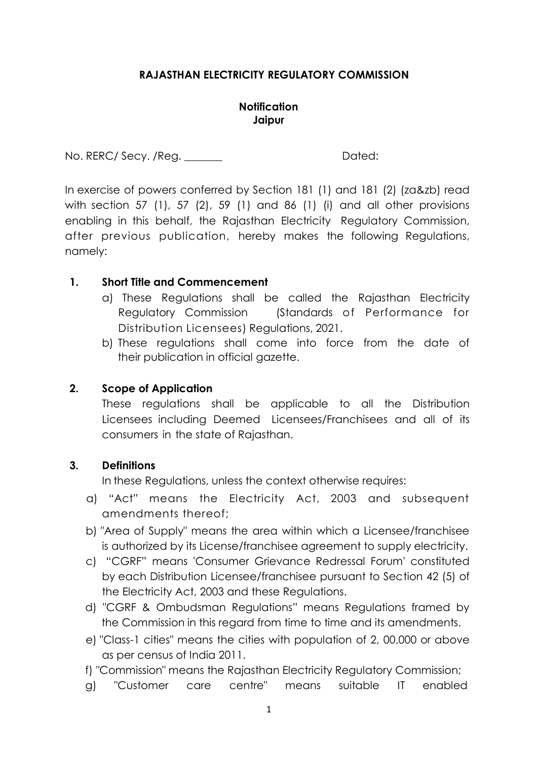## **RAJASTHAN ELECTRICITY REGULATORY COMMISSION**

## **Notification Jaipur**

No. RERC/ Secy. /Reg. \_\_\_\_\_\_\_ Dated:

In exercise of powers conferred by Section 181 (1) and 181 (2) (za&zb) read with section 57 (1), 57 (2), 59 (1) and 86 (1) (i) and all other provisions enabling in this behalf, the Rajasthan Electricity Regulatory Commission, after previous publication, hereby makes the following Regulations, namely:

## **1. Short Title and Commencement**

- a) These Regulations shall be called the Rajasthan Electricity Regulatory Commission (Standards of Performance for Distribution Licensees) Regulations, 2021.
- b) These regulations shall come into force from the date of their publication in official gazette.

## **2. Scope of Application**

These regulations shall be applicable to all the Distribution Licensees including Deemed Licensees/Franchisees and all of its consumers in the state of Rajasthan.

## **3. Definitions**

In these Regulations, unless the context otherwise requires:

- a) "Act" means the Electricity Act, 2003 and subsequent amendments thereof;
- b) "Area of Supply" means the area within which a Licensee/franchisee is authorized by its License/franchisee agreement to supply electricity.
- c) "CGRF" means 'Consumer Grievance Redressal Forum' constituted by each Distribution Licensee/franchisee pursuant to Section 42 (5) of the Electricity Act, 2003 and these Regulations.
- d) "CGRF & Ombudsman Regulations" means Regulations framed by the Commission in this regard from time to time and its amendments.
- e) "Class-1 cities" means the cities with population of 2, 00,000 or above as per census of India 2011.
- f) "Commission" means the Rajasthan Electricity Regulatory Commission;
- g) "Customer care centre" means suitable IT enabled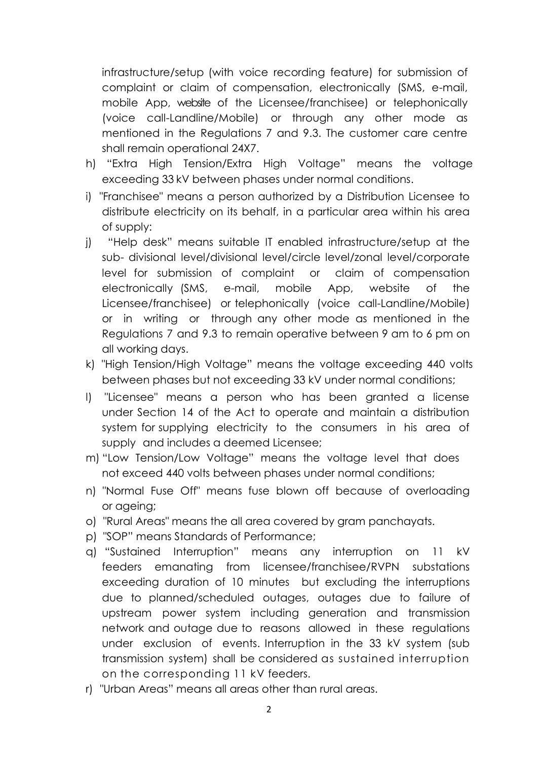infrastructure/setup (with voice recording feature) for submission of complaint or claim of compensation, electronically (SMS, e-mail, mobile App, website of the Licensee/franchisee) or telephonically (voice call-Landline/Mobile) or through any other mode as mentioned in the Regulations 7 and 9.3. The customer care centre shall remain operational 24X7.

- h) "Extra High Tension/Extra High Voltage" means the voltage exceeding 33 kV between phases under normal conditions.
- i) "Franchisee" means a person authorized by a Distribution Licensee to distribute electricity on its behalf, in a particular area within his area of supply:
- j) "Help desk" means suitable IT enabled infrastructure/setup at the sub- divisional level/divisional level/circle level/zonal level/corporate level for submission of complaint or claim of compensation electronically (SMS, e-mail, mobile App, website of the Licensee/franchisee) or telephonically (voice call-Landline/Mobile) or in writing or through any other mode as mentioned in the Regulations 7 and 9.3 to remain operative between 9 am to 6 pm on all working days.
- k) "High Tension/High Voltage" means the voltage exceeding 440 volts between phases but not exceeding 33 kV under normal conditions;
- l) "Licensee" means a person who has been granted a license under Section 14 of the Act to operate and maintain a distribution system for supplying electricity to the consumers in his area of supply and includes a deemed Licensee;
- m) "Low Tension/Low Voltage" means the voltage level that does not exceed 440 volts between phases under normal conditions;
- n) "Normal Fuse Off" means fuse blown off because of overloading or ageing;
- o) "Rural Areas" means the all area covered by gram panchayats.
- p) "SOP" means Standards of Performance;
- q) "Sustained Interruption" means any interruption on 11 kV feeders emanating from licensee/franchisee/RVPN substations exceeding duration of 10 minutes but excluding the interruptions due to planned/scheduled outages, outages due to failure of upstream power system including generation and transmission network and outage due to reasons allowed in these regulations under exclusion of events. Interruption in the 33 kV system (sub transmission system) shall be considered as sustained interruption on the corresponding 11 kV feeders.
- r) "Urban Areas" means all areas other than rural areas.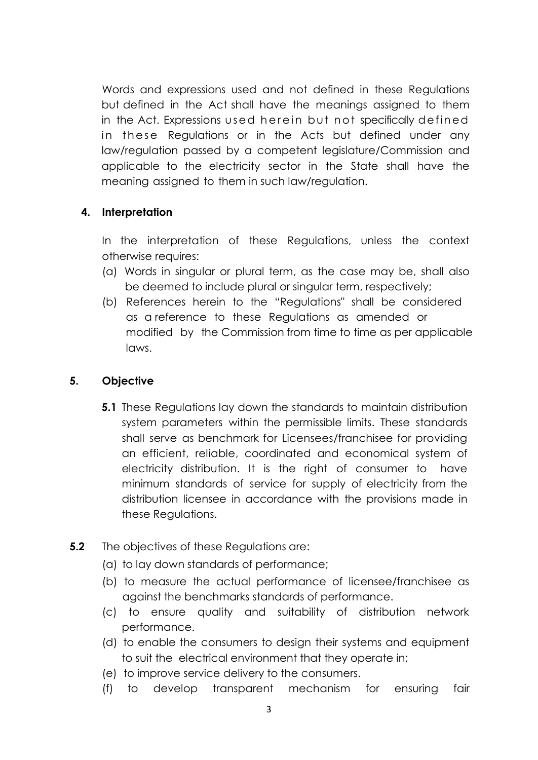Words and expressions used and not defined in these Regulations but defined in the Act shall have the meanings assigned to them in the Act. Expressions used herein but not specifically defined in these Regulations or in the Acts but defined under any law/regulation passed by a competent legislature/Commission and applicable to the electricity sector in the State shall have the meaning assigned to them in such law/regulation.

## **4. Interpretation**

In the interpretation of these Regulations, unless the context otherwise requires:

- (a) Words in singular or plural term, as the case may be, shall also be deemed to include plural or singular term, respectively;
- (b) References herein to the "Regulations" shall be considered as a reference to these Regulations as amended or modified by the Commission from time to time as per applicable laws.

## **5. Objective**

- **5.1** These Regulations lay down the standards to maintain distribution system parameters within the permissible limits. These standards shall serve as benchmark for Licensees/franchisee for providing an efficient, reliable, coordinated and economical system of electricity distribution. It is the right of consumer to have minimum standards of service for supply of electricity from the distribution licensee in accordance with the provisions made in these Regulations.
- **5.2** The objectives of these Regulations are:
	- (a) to lay down standards of performance;
	- (b) to measure the actual performance of licensee/franchisee as against the benchmarks standards of performance.
	- (c) to ensure quality and suitability of distribution network performance.
	- (d) to enable the consumers to design their systems and equipment to suit the electrical environment that they operate in;
	- (e) to improve service delivery to the consumers.
	- (f) to develop transparent mechanism for ensuring fair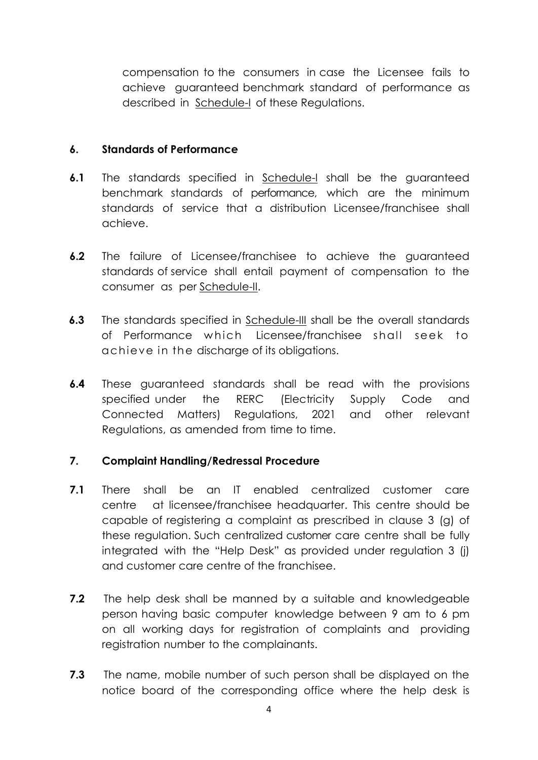compensation to the consumers in case the Licensee fails to achieve guaranteed benchmark standard of performance as described in Schedule-I of these Regulations.

## **6. Standards of Performance**

- **6.1** The standards specified in Schedule-I shall be the guaranteed benchmark standards of performance, which are the minimum standards of service that a distribution Licensee/franchisee shall achieve.
- **6.2** The failure of Licensee/franchisee to achieve the guaranteed standards of service shall entail payment of compensation to the consumer as per Schedule-II.
- **6.3** The standards specified in Schedule-III shall be the overall standards of Performance which Licensee/franchisee shall seek to achieve in the discharge of its obligations.
- **6.4** These guaranteed standards shall be read with the provisions specified under the RERC (Electricity Supply Code and Connected Matters) Regulations, 2021 and other relevant Regulations, as amended from time to time.

## **7. Complaint Handling/Redressal Procedure**

- **7.1** There shall be an IT enabled centralized customer care centre at licensee/franchisee headquarter. This centre should be capable of registering a complaint as prescribed in clause 3 (g) of these regulation. Such centralized customer care centre shall be fully integrated with the "Help Desk" as provided under regulation 3 (j) and customer care centre of the franchisee.
- **7.2** The help desk shall be manned by a suitable and knowledgeable person having basic computer knowledge between 9 am to 6 pm on all working days for registration of complaints and providing registration number to the complainants.
- **7.3** The name, mobile number of such person shall be displayed on the notice board of the corresponding office where the help desk is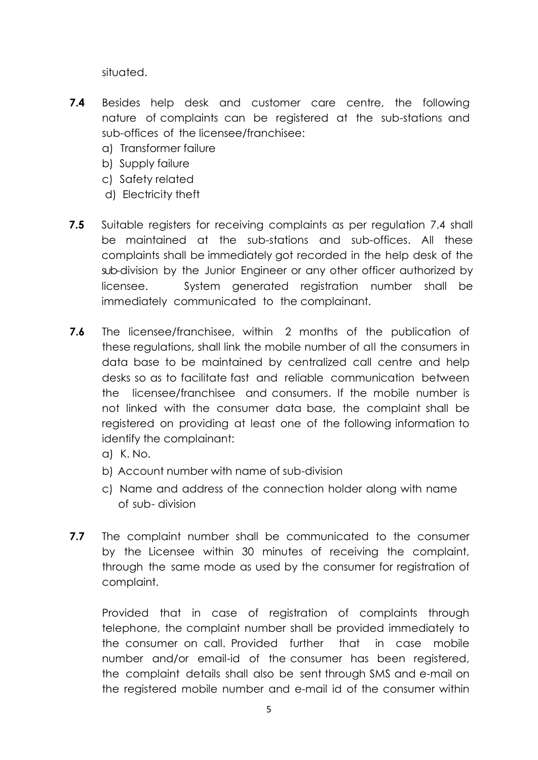situated.

- **7.4** Besides help desk and customer care centre, the following nature of complaints can be registered at the sub-stations and sub-offices of the licensee/franchisee:
	- a) Transformer failure
	- b) Supply failure
	- c) Safety related
	- d) Electricity theft
- **7.5** Suitable registers for receiving complaints as per regulation 7.4 shall be maintained at the sub-stations and sub-offices. All these complaints shall be immediately got recorded in the help desk of the sub-division by the Junior Engineer or any other officer authorized by licensee. System generated registration number shall be immediately communicated to the complainant.
- **7.6** The licensee/franchisee, within 2 months of the publication of these regulations, shall link the mobile number of all the consumers in data base to be maintained by centralized call centre and help desks so as to facilitate fast and reliable communication between the licensee/franchisee and consumers. If the mobile number is not linked with the consumer data base, the complaint shall be registered on providing at least one of the following information to identify the complainant:
	- a) K. No.
	- b) Account number with name of sub-division
	- c) Name and address of the connection holder along with name of sub- division
- **7.7** The complaint number shall be communicated to the consumer by the Licensee within 30 minutes of receiving the complaint, through the same mode as used by the consumer for registration of complaint.

Provided that in case of registration of complaints through telephone, the complaint number shall be provided immediately to the consumer on call. Provided further that in case mobile number and/or email-id of the consumer has been registered, the complaint details shall also be sent through SMS and e-mail on the registered mobile number and e-mail id of the consumer within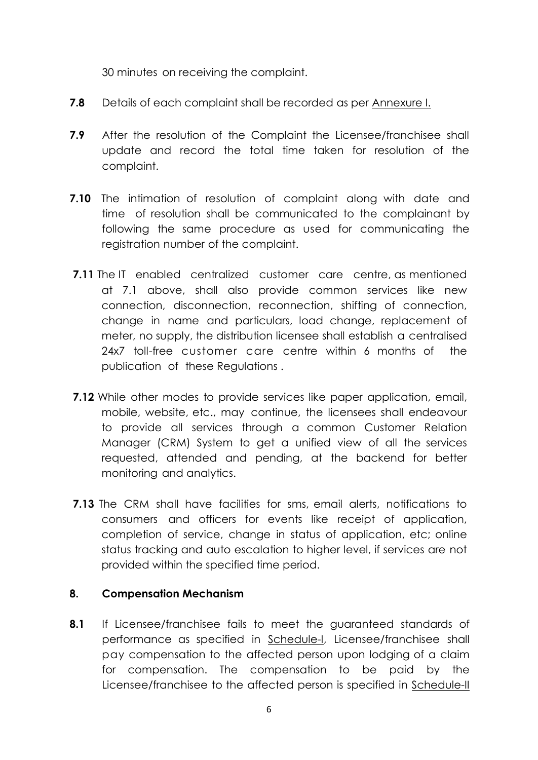30 minutes on receiving the complaint.

- **7.8** Details of each complaint shall be recorded as per Annexure I.
- **7.9** After the resolution of the Complaint the Licensee/franchisee shall update and record the total time taken for resolution of the complaint.
- **7.10** The intimation of resolution of complaint along with date and time of resolution shall be communicated to the complainant by following the same procedure as used for communicating the registration number of the complaint.
- **7.11** The IT enabled centralized customer care centre, as mentioned at 7.1 above, shall also provide common services like new connection, disconnection, reconnection, shifting of connection, change in name and particulars, load change, replacement of meter, no supply, the distribution licensee shall establish a centralised 24x7 toll-free customer care centre within 6 months of the publication of these Regulations .
- **7.12** While other modes to provide services like paper application, email, mobile, website, etc., may continue, the licensees shall endeavour to provide all services through a common Customer Relation Manager (CRM) System to get a unified view of all the services requested, attended and pending, at the backend for better monitoring and analytics.
- **7.13** The CRM shall have facilities for sms, email alerts, notifications to consumers and officers for events like receipt of application, completion of service, change in status of application, etc; online status tracking and auto escalation to higher level, if services are not provided within the specified time period.

## **8. Compensation Mechanism**

**8.1** If Licensee/franchisee fails to meet the guaranteed standards of performance as specified in Schedule-I, Licensee/franchisee shall pay compensation to the affected person upon lodging of a claim for compensation. The compensation to be paid by the Licensee/franchisee to the affected person is specified in Schedule-II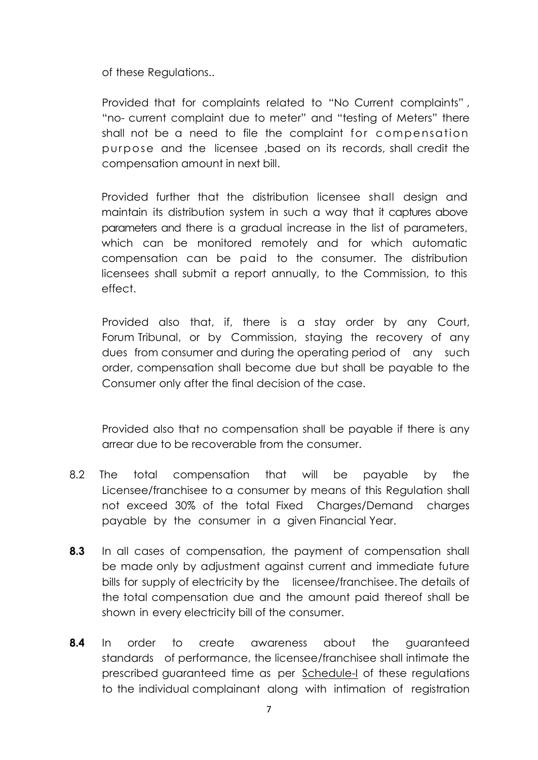of these Regulations..

Provided that for complaints related to "No Current complaints" , "no- current complaint due to meter" and "testing of Meters" there shall not be a need to file the complaint for compensation purpose and the licensee ,based on its records, shall credit the compensation amount in next bill.

Provided further that the distribution licensee shall design and maintain its distribution system in such a way that it captures above parameters and there is a gradual increase in the list of parameters, which can be monitored remotely and for which automatic compensation can be paid to the consumer. The distribution licensees shall submit a report annually, to the Commission, to this effect.

Provided also that, if, there is a stay order by any Court, Forum Tribunal, or by Commission, staying the recovery of any dues from consumer and during the operating period of any such order, compensation shall become due but shall be payable to the Consumer only after the final decision of the case.

Provided also that no compensation shall be payable if there is any arrear due to be recoverable from the consumer.

- 8.2 The total compensation that will be payable by the Licensee/franchisee to a consumer by means of this Regulation shall not exceed 30% of the total Fixed Charges/Demand charges payable by the consumer in a given Financial Year.
- **8.3** In all cases of compensation, the payment of compensation shall be made only by adjustment against current and immediate future bills for supply of electricity by the licensee/franchisee. The details of the total compensation due and the amount paid thereof shall be shown in every electricity bill of the consumer.
- **8.4** In order to create awareness about the guaranteed standards of performance, the licensee/franchisee shall intimate the prescribed guaranteed time as per Schedule-I of these regulations to the individual complainant along with intimation of registration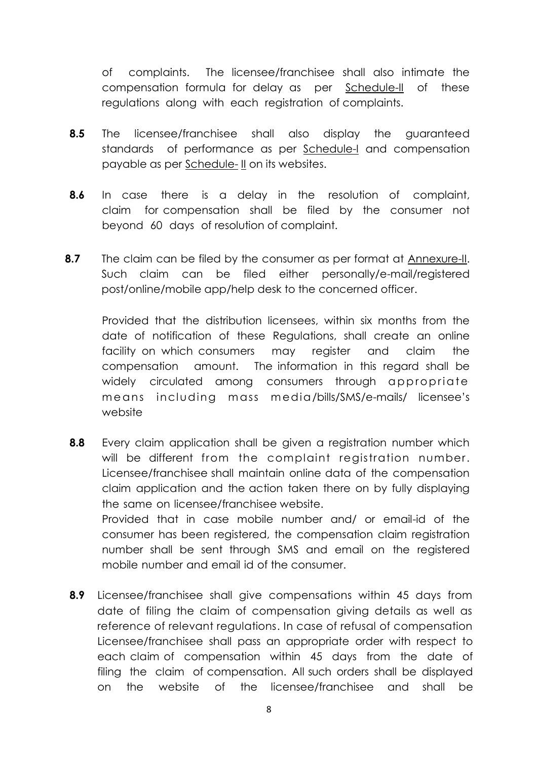of complaints. The licensee/franchisee shall also intimate the compensation formula for delay as per Schedule-II of these regulations along with each registration of complaints.

- **8.5** The licensee/franchisee shall also display the guaranteed standards of performance as per Schedule-I and compensation payable as per Schedule- II on its websites.
- **8.6** In case there is a delay in the resolution of complaint, claim for compensation shall be filed by the consumer not beyond 60 days of resolution of complaint.
- **8.7** The claim can be filed by the consumer as per format at Annexure-II. Such claim can be filed either personally/e-mail/registered post/online/mobile app/help desk to the concerned officer.

Provided that the distribution licensees, within six months from the date of notification of these Regulations, shall create an online facility on which consumers may register and claim the compensation amount. The information in this regard shall be widely circulated among consumers through appropriate m e an s incl uding m ass m edia/bills/SMS/e-mails/ licensee's website

- **8.8** Every claim application shall be given a registration number which will be different from the complaint registration number. Licensee/franchisee shall maintain online data of the compensation claim application and the action taken there on by fully displaying the same on licensee/franchisee website. Provided that in case mobile number and/ or email-id of the consumer has been registered, the compensation claim registration number shall be sent through SMS and email on the registered mobile number and email id of the consumer.
- **8.9** Licensee/franchisee shall give compensations within 45 days from date of filing the claim of compensation giving details as well as reference of relevant regulations. In case of refusal of compensation Licensee/franchisee shall pass an appropriate order with respect to each claim of compensation within 45 days from the date of filing the claim of compensation. All such orders shall be displayed on the website of the licensee/franchisee and shall be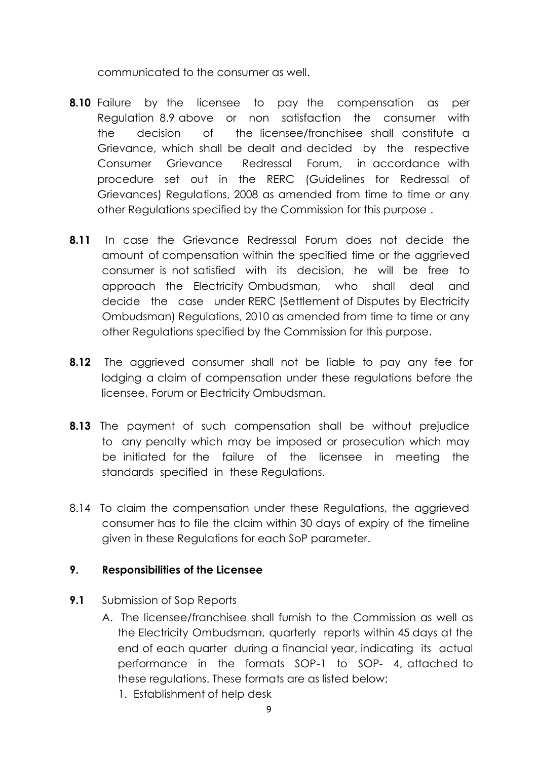communicated to the consumer as well.

- **8.10** Failure by the licensee to pay the compensation as per Regulation 8.9 above or non satisfaction the consumer with the decision of the licensee/franchisee shall constitute a Grievance, which shall be dealt and decided by the respective Consumer Grievance Redressal Forum, in accordance with procedure set out in the RERC (Guidelines for Redressal of Grievances) Regulations, 2008 as amended from time to time or any other Regulations specified by the Commission for this purpose .
- **8.11** In case the Grievance Redressal Forum does not decide the amount of compensation within the specified time or the aggrieved consumer is not satisfied with its decision, he will be free to approach the Electricity Ombudsman, who shall deal and decide the case under RERC (Settlement of Disputes by Electricity Ombudsman) Regulations, 2010 as amended from time to time or any other Regulations specified by the Commission for this purpose.
- **8.12** The aggrieved consumer shall not be liable to pay any fee for lodging a claim of compensation under these regulations before the licensee, Forum or Electricity Ombudsman.
- **8.13** The payment of such compensation shall be without prejudice to any penalty which may be imposed or prosecution which may be initiated for the failure of the licensee in meeting the standards specified in these Regulations.
- 8.14 To claim the compensation under these Regulations, the aggrieved consumer has to file the claim within 30 days of expiry of the timeline given in these Regulations for each SoP parameter.

## **9. Responsibilities of the Licensee**

- **9.1** Submission of Sop Reports
	- A. The licensee/franchisee shall furnish to the Commission as well as the Electricity Ombudsman, quarterly reports within 45 days at the end of each quarter during a financial year, indicating its actual performance in the formats SOP-1 to SOP- 4, attached to these regulations. These formats are as listed below;
		- 1. Establishment of help desk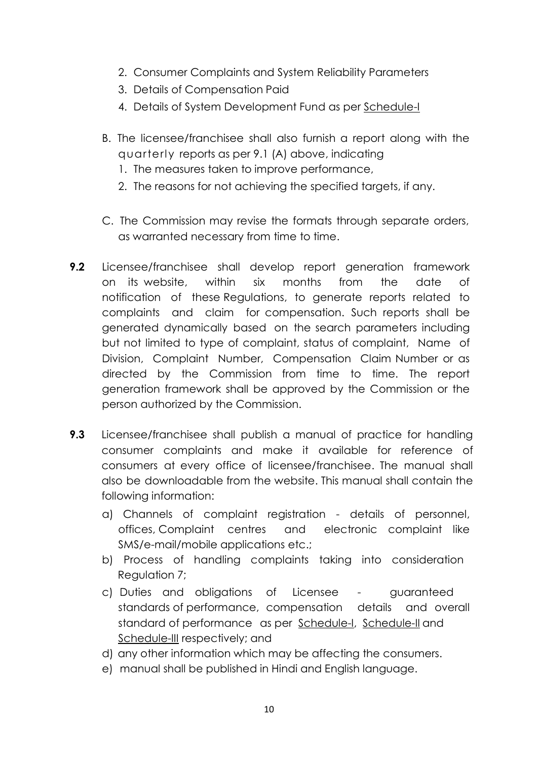- 2. Consumer Complaints and System Reliability Parameters
- 3. Details of Compensation Paid
- 4. Details of System Development Fund as per Schedule-
- B. The licensee/franchisee shall also furnish a report along with the quarterly reports as per 9.1 (A) above, indicating
	- 1. The measures taken to improve performance,
	- 2. The reasons for not achieving the specified targets, if any.
- C. The Commission may revise the formats through separate orders, as warranted necessary from time to time.
- **9.2** Licensee/franchisee shall develop report generation framework on its website, within six months from the date of notification of these Regulations, to generate reports related to complaints and claim for compensation. Such reports shall be generated dynamically based on the search parameters including but not limited to type of complaint, status of complaint, Name of Division, Complaint Number, Compensation Claim Number or as directed by the Commission from time to time. The report generation framework shall be approved by the Commission or the person authorized by the Commission.
- **9.3** Licensee/franchisee shall publish a manual of practice for handling consumer complaints and make it available for reference of consumers at every office of licensee/franchisee. The manual shall also be downloadable from the website. This manual shall contain the following information:
	- a) Channels of complaint registration details of personnel, offices, Complaint centres and electronic complaint like SMS/e-mail/mobile applications etc.;
	- b) Process of handling complaints taking into consideration Regulation 7;
	- c) Duties and obligations of Licensee guaranteed standards of performance, compensation details and overall standard of performance as per Schedule-I, Schedule-II and Schedule-III respectively; and
	- d) any other information which may be affecting the consumers.
	- e) manual shall be published in Hindi and English language.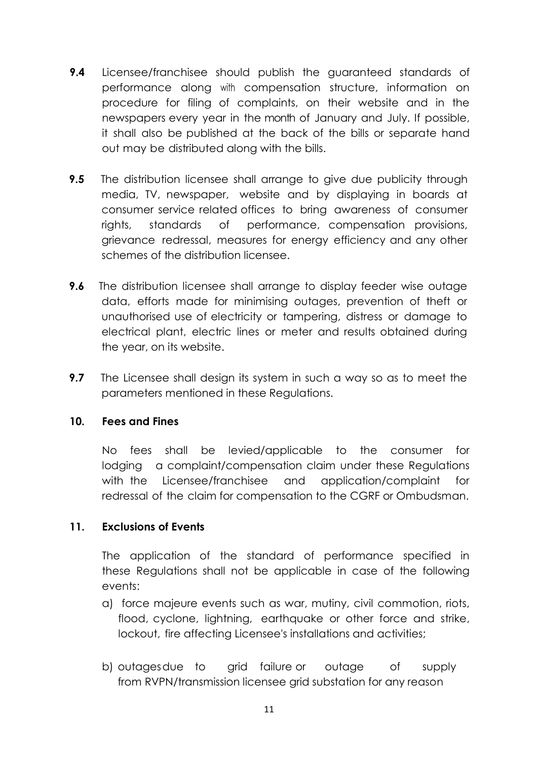- **9.4** Licensee/franchisee should publish the guaranteed standards of performance along with compensation structure, information on procedure for filing of complaints, on their website and in the newspapers every year in the month of January and July. If possible, it shall also be published at the back of the bills or separate hand out may be distributed along with the bills.
- **9.5** The distribution licensee shall arrange to give due publicity through media, TV, newspaper, website and by displaying in boards at consumer service related offices to bring awareness of consumer rights, standards of performance, compensation provisions, grievance redressal, measures for energy efficiency and any other schemes of the distribution licensee.
- **9.6** The distribution licensee shall arrange to display feeder wise outage data, efforts made for minimising outages, prevention of theft or unauthorised use of electricity or tampering, distress or damage to electrical plant, electric lines or meter and results obtained during the year, on its website.
- **9.7** The Licensee shall design its system in such a way so as to meet the parameters mentioned in these Regulations.

## **10. Fees and Fines**

No fees shall be levied/applicable to the consumer for lodging a complaint/compensation claim under these Regulations with the Licensee/franchisee and application/complaint for redressal of the claim for compensation to the CGRF or Ombudsman.

## **11. Exclusions of Events**

The application of the standard of performance specified in these Regulations shall not be applicable in case of the following events:

- a) force majeure events such as war, mutiny, civil commotion, riots, flood, cyclone, lightning, earthquake or other force and strike, lockout, fire affecting Licensee's installations and activities;
- b) outagesdue to grid failure or outage of supply from RVPN/transmission licensee grid substation for any reason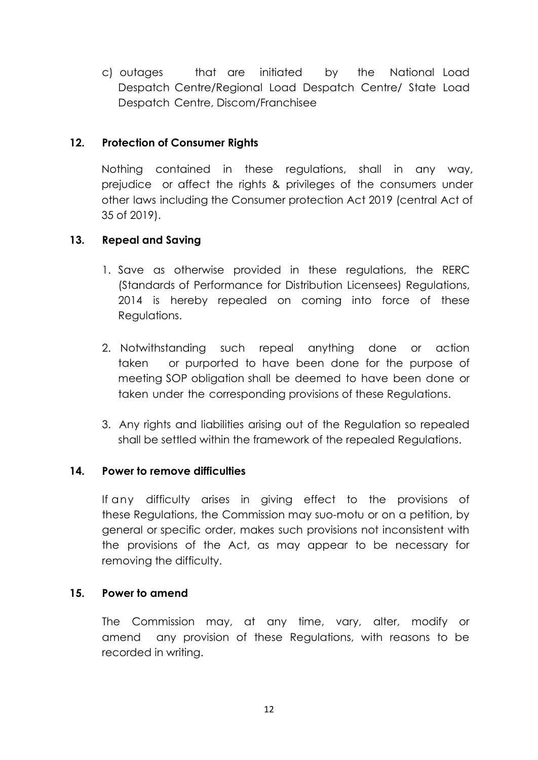c) outages that are initiated by the National Load Despatch Centre/Regional Load Despatch Centre/ State Load Despatch Centre, Discom/Franchisee

## **12. Protection of Consumer Rights**

Nothing contained in these regulations, shall in any way, prejudice or affect the rights & privileges of the consumers under other laws including the Consumer protection Act 2019 (central Act of 35 of 2019).

## **13. Repeal and Saving**

- 1. Save as otherwise provided in these regulations, the RERC (Standards of Performance for Distribution Licensees) Regulations, 2014 is hereby repealed on coming into force of these Regulations.
- 2. Notwithstanding such repeal anything done or action taken or purported to have been done for the purpose of meeting SOP obligation shall be deemed to have been done or taken under the corresponding provisions of these Regulations.
- 3. Any rights and liabilities arising out of the Regulation so repealed shall be settled within the framework of the repealed Regulations.

## **14. Power to remove difficulties**

If any difficulty arises in giving effect to the provisions of these Regulations, the Commission may suo-motu or on a petition, by general or specific order, makes such provisions not inconsistent with the provisions of the Act, as may appear to be necessary for removing the difficulty.

## **15. Power to amend**

The Commission may, at any time, vary, alter, modify or amend any provision of these Regulations, with reasons to be recorded in writing.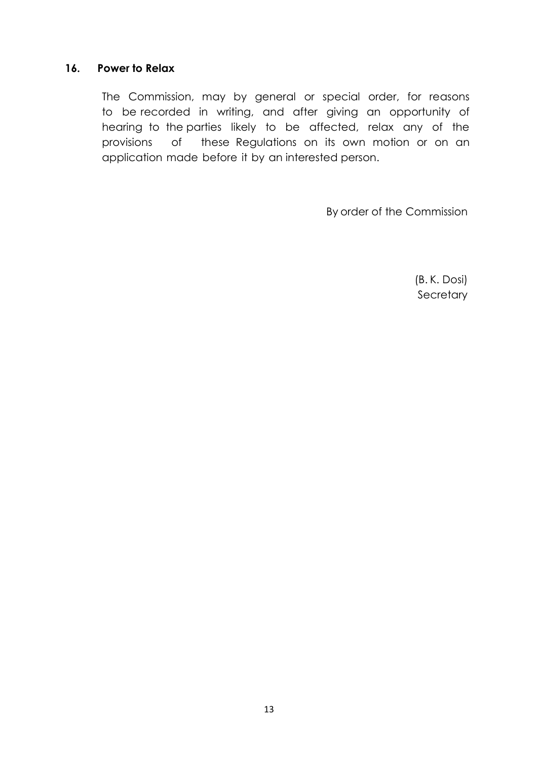#### **16. Power to Relax**

The Commission, may by general or special order, for reasons to be recorded in writing, and after giving an opportunity of hearing to the parties likely to be affected, relax any of the provisions of these Regulations on its own motion or on an application made before it by an interested person.

By order of the Commission

(B. K. Dosi) **Secretary**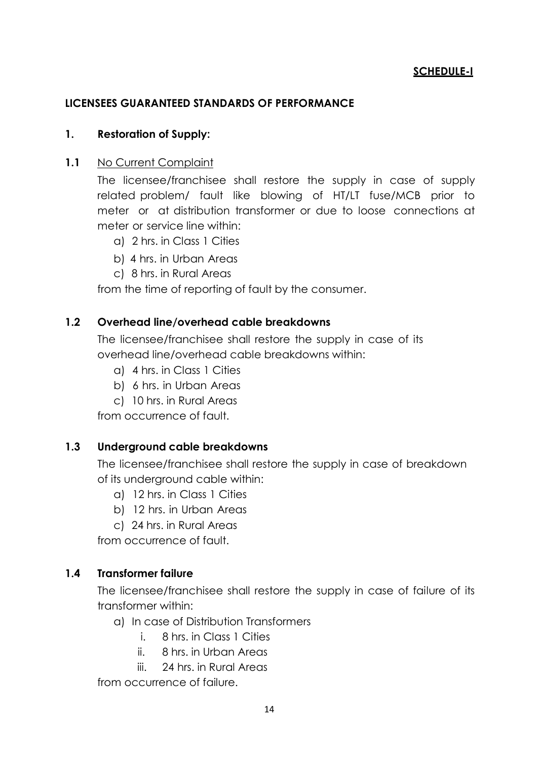## **SCHEDULE-I**

## **LICENSEES GUARANTEED STANDARDS OF PERFORMANCE**

#### **1. Restoration of Supply:**

#### **1.1** No Current Complaint

The licensee/franchisee shall restore the supply in case of supply related problem/ fault like blowing of HT/LT fuse/MCB prior to meter or at distribution transformer or due to loose connections at meter or service line within:

- a) 2 hrs. in Class 1 Cities
- b) 4 hrs. in Urban Areas
- c) 8 hrs. in Rural Areas

from the time of reporting of fault by the consumer.

## **1.2 Overhead line/overhead cable breakdowns**

The licensee/franchisee shall restore the supply in case of its overhead line/overhead cable breakdowns within:

- a) 4 hrs. in Class 1 Cities
- b) 6 hrs. in Urban Areas
- c) 10 hrs. in Rural Areas

from occurrence of fault.

## **1.3 Underground cable breakdowns**

The licensee/franchisee shall restore the supply in case of breakdown of its underground cable within:

- a) 12 hrs. in Class 1 Cities
- b) 12 hrs. in Urban Areas
- c) 24 hrs. in Rural Areas

from occurrence of fault.

## **1.4 Transformer failure**

The licensee/franchisee shall restore the supply in case of failure of its transformer within:

- a) In case of Distribution Transformers
	- i. 8 hrs. in Class 1 Cities
	- ii. 8 hrs. in Urban Areas
	- iii. 24 hrs. in Rural Areas

from occurrence of failure.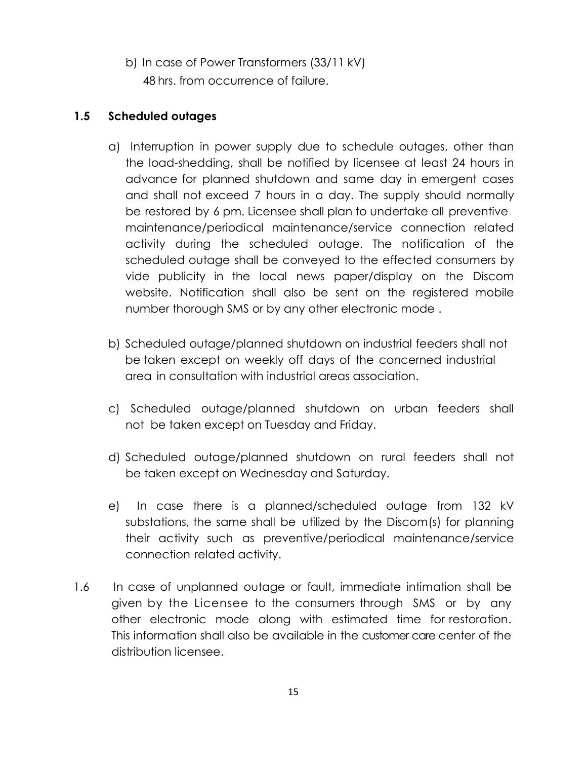b) In case of Power Transformers (33/11 kV) 48 hrs. from occurrence of failure.

## **1.5 Scheduled outages**

- a) Interruption in power supply due to schedule outages, other than the load-shedding, shall be notified by licensee at least 24 hours in advance for planned shutdown and same day in emergent cases and shall not exceed 7 hours in a day. The supply should normally be restored by 6 pm. Licensee shall plan to undertake all preventive maintenance/periodical maintenance/service connection related activity during the scheduled outage. The notification of the scheduled outage shall be conveyed to the effected consumers by vide publicity in the local news paper/display on the Discom website. Notification shall also be sent on the registered mobile number thorough SMS or by any other electronic mode .
- b) Scheduled outage/planned shutdown on industrial feeders shall not be taken except on weekly off days of the concerned industrial area in consultation with industrial areas association.
- c) Scheduled outage/planned shutdown on urban feeders shall not be taken except on Tuesday and Friday.
- d) Scheduled outage/planned shutdown on rural feeders shall not be taken except on Wednesday and Saturday.
- e) In case there is a planned/scheduled outage from 132 kV substations, the same shall be utilized by the Discom(s) for planning their activity such as preventive/periodical maintenance/service connection related activity.
- 1.6 In case of unplanned outage or fault, immediate intimation shall be given by the Licensee to the consumers through SMS or by any other electronic mode along with estimated time for restoration. This information shall also be available in the customer care center of the distribution licensee.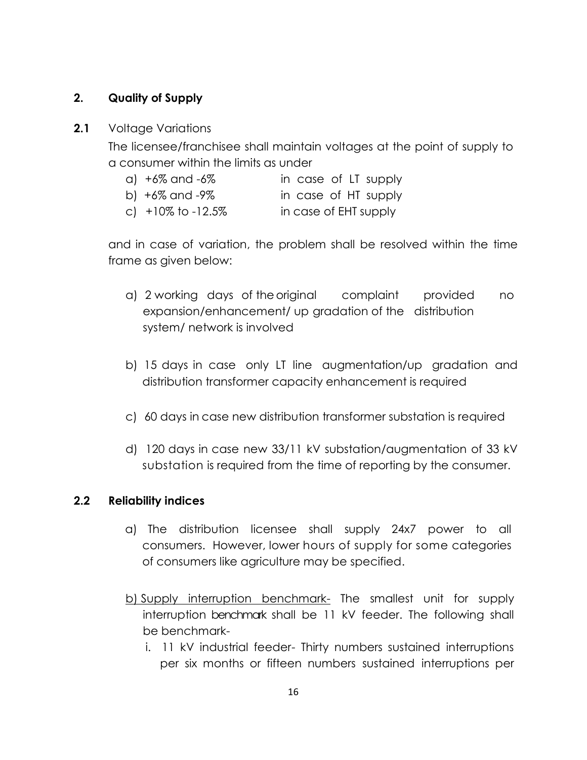## **2. Quality of Supply**

#### **2.1** Voltage Variations

The licensee/franchisee shall maintain voltages at the point of supply to a consumer within the limits as under

- a) +6% and -6% in case of LT supply
- b) +6% and -9% in case of HT supply
- c) +10% to -12.5% in case of EHT supply

and in case of variation, the problem shall be resolved within the time frame as given below:

- a) 2 working days of theoriginal complaint provided no expansion/enhancement/ up gradation of the distribution system/ network is involved
- b) 15 days in case only LT line augmentation/up gradation and distribution transformer capacity enhancement is required
- c) 60 days in case new distribution transformer substation is required
- d) 120 days in case new 33/11 kV substation/augmentation of 33 kV substation is required from the time of reporting by the consumer.

#### **2.2 Reliability indices**

- a) The distribution licensee shall supply 24x7 power to all consumers. However, lower hours of supply for some categories of consumers like agriculture may be specified.
- b) Supply interruption benchmark- The smallest unit for supply interruption benchmark shall be 11 kV feeder. The following shall be benchmark
	- i. 11 kV industrial feeder- Thirty numbers sustained interruptions per six months or fifteen numbers sustained interruptions per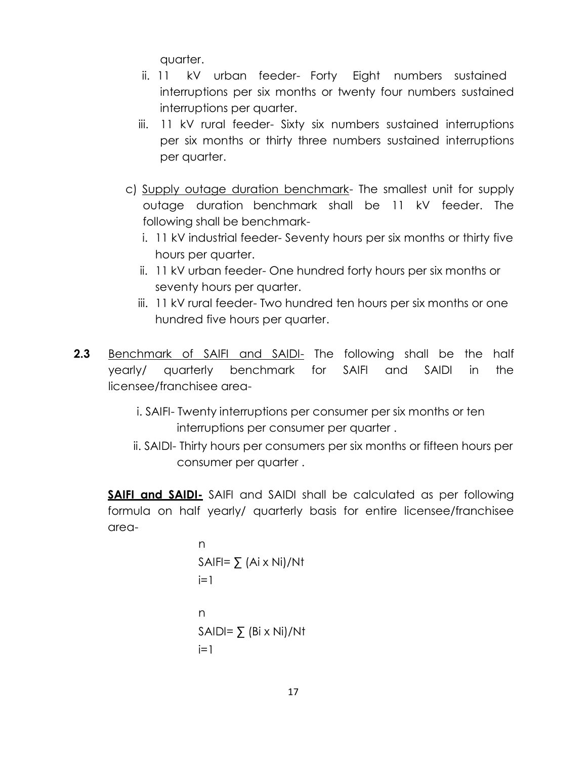quarter.

- ii. 11 kV urban feeder- Forty Eight numbers sustained interruptions per six months or twenty four numbers sustained interruptions per quarter.
- iii. 11 kV rural feeder- Sixty six numbers sustained interruptions per six months or thirty three numbers sustained interruptions per quarter.
- c) Supply outage duration benchmark- The smallest unit for supply outage duration benchmark shall be 11 kV feeder. The following shall be benchmark
	- i. 11 kV industrial feeder- Seventy hours per six months or thirty five hours per quarter.
	- ii. 11 kV urban feeder- One hundred forty hours per six months or seventy hours per quarter.
	- iii. 11 kV rural feeder- Two hundred ten hours per six months or one hundred five hours per quarter.
- **2.3** Benchmark of SAIFI and SAIDI- The following shall be the half yearly/ quarterly benchmark for SAIFI and SAIDI in the licensee/franchisee area
	- i. SAIFI- Twenty interruptions per consumer per six months or ten interruptions per consumer per quarter .
	- ii. SAIDI- Thirty hours per consumers per six months or fifteen hours per consumer per quarter .

**SAIFI and SAIDI-** SAIFI and SAIDI shall be calculated as per following formula on half yearly/ quarterly basis for entire licensee/franchisee area-

n  
\nSAIFl=
$$
\sum (Ai \times Ni)/Nt
$$
  
\ni=1  
\nn  
\nSAIDl= $\sum (Bi \times Ni)/Nt$   
\ni=1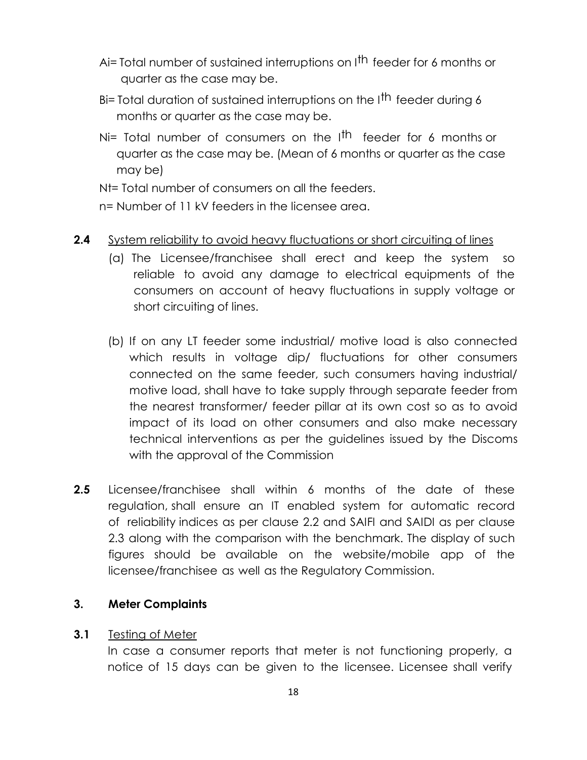- Ai= Total number of sustained interruptions on I<sup>th</sup> feeder for 6 months or quarter as the case may be.
- Bi= Total duration of sustained interruptions on the I<sup>th</sup> feeder during 6 months or quarter as the case may be.
- Ni= Total number of consumers on the I<sup>th</sup> feeder for 6 months or quarter as the case may be. (Mean of 6 months or quarter as the case may be)

Nt= Total number of consumers on all the feeders.

n= Number of 11 kV feeders in the licensee area.

- **2.4** System reliability to avoid heavy fluctuations or short circuiting of lines
	- (a) The Licensee/franchisee shall erect and keep the system so reliable to avoid any damage to electrical equipments of the consumers on account of heavy fluctuations in supply voltage or short circuiting of lines.
	- (b) If on any LT feeder some industrial/ motive load is also connected which results in voltage dip/ fluctuations for other consumers connected on the same feeder, such consumers having industrial/ motive load, shall have to take supply through separate feeder from the nearest transformer/ feeder pillar at its own cost so as to avoid impact of its load on other consumers and also make necessary technical interventions as per the guidelines issued by the Discoms with the approval of the Commission
- **2.5** Licensee/franchisee shall within 6 months of the date of these regulation, shall ensure an IT enabled system for automatic record of reliability indices as per clause 2.2 and SAIFI and SAIDI as per clause 2.3 along with the comparison with the benchmark. The display of such figures should be available on the website/mobile app of the licensee/franchisee as well as the Regulatory Commission.

#### **3. Meter Complaints**

#### **3.1** Testing of Meter

In case a consumer reports that meter is not functioning properly, a notice of 15 days can be given to the licensee. Licensee shall verify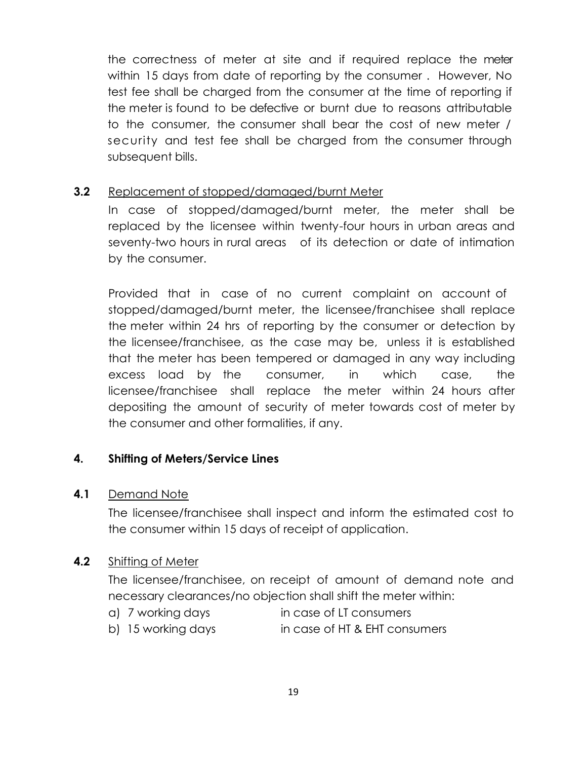the correctness of meter at site and if required replace the meter within 15 days from date of reporting by the consumer . However, No test fee shall be charged from the consumer at the time of reporting if the meter is found to be defective or burnt due to reasons attributable to the consumer, the consumer shall bear the cost of new meter / security and test fee shall be charged from the consumer through subsequent bills.

#### **3.2** Replacement of stopped/damaged/burnt Meter

In case of stopped/damaged/burnt meter, the meter shall be replaced by the licensee within twenty-four hours in urban areas and seventy-two hours in rural areas of its detection or date of intimation by the consumer.

Provided that in case of no current complaint on account of stopped/damaged/burnt meter, the licensee/franchisee shall replace the meter within 24 hrs of reporting by the consumer or detection by the licensee/franchisee, as the case may be, unless it is established that the meter has been tempered or damaged in any way including excess load by the consumer, in which case, the licensee/franchisee shall replace the meter within 24 hours after depositing the amount of security of meter towards cost of meter by the consumer and other formalities, if any.

#### **4. Shifting of Meters/Service Lines**

#### **4.1** Demand Note

The licensee/franchisee shall inspect and inform the estimated cost to the consumer within 15 days of receipt of application.

#### **4.2** Shifting of Meter

The licensee/franchisee, on receipt of amount of demand note and necessary clearances/no objection shall shift the meter within:

- a) 7 working days in case of LT consumers
- b) 15 working days in case of HT & EHT consumers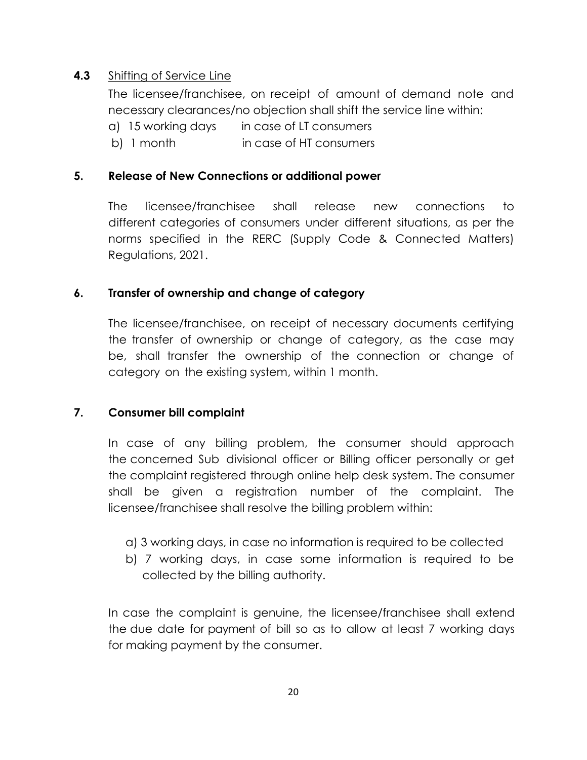## **4.3** Shifting of Service Line

The licensee/franchisee, on receipt of amount of demand note and necessary clearances/no objection shall shift the service line within:

a) 15 working days in case of LT consumers

b) 1 month in case of HT consumers

## **5. Release of New Connections or additional power**

The licensee/franchisee shall release new connections to different categories of consumers under different situations, as per the norms specified in the RERC (Supply Code & Connected Matters) Regulations, 2021.

## **6. Transfer of ownership and change of category**

The licensee/franchisee, on receipt of necessary documents certifying the transfer of ownership or change of category, as the case may be, shall transfer the ownership of the connection or change of category on the existing system, within 1 month.

## **7. Consumer bill complaint**

In case of any billing problem, the consumer should approach the concerned Sub divisional officer or Billing officer personally or get the complaint registered through online help desk system. The consumer shall be given a registration number of the complaint. The licensee/franchisee shall resolve the billing problem within:

- a) 3 working days, in case no information is required to be collected
- b) 7 working days, in case some information is required to be collected by the billing authority.

In case the complaint is genuine, the licensee/franchisee shall extend the due date for payment of bill so as to allow at least 7 working days for making payment by the consumer.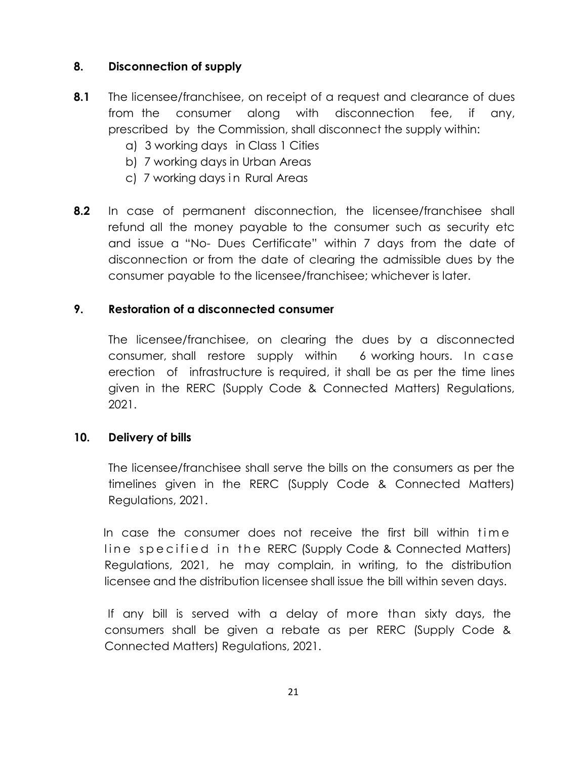## **8. Disconnection of supply**

- **8.1** The licensee/franchisee, on receipt of a request and clearance of dues from the consumer along with disconnection fee, if any, prescribed by the Commission, shall disconnect the supply within:
	- a) 3 working days in Class 1 Cities
	- b) 7 working days in Urban Areas
	- c) 7 working days in Rural Areas
- **8.2** In case of permanent disconnection, the licensee/franchisee shall refund all the money payable to the consumer such as security etc and issue a "No- Dues Certificate" within 7 days from the date of disconnection or from the date of clearing the admissible dues by the consumer payable to the licensee/franchisee; whichever is later.

## **9. Restoration of a disconnected consumer**

The licensee/franchisee, on clearing the dues by a disconnected consumer, shall restore supply within 6 working hours. In case erection of infrastructure is required, it shall be as per the time lines given in the RERC (Supply Code & Connected Matters) Regulations, 2021.

## **10. Delivery of bills**

The licensee/franchisee shall serve the bills on the consumers as per the timelines given in the RERC (Supply Code & Connected Matters) Regulations, 2021.

In case the consumer does not receive the first bill within time line specified in the RERC (Supply Code & Connected Matters) Regulations, 2021, he may complain, in writing, to the distribution licensee and the distribution licensee shall issue the bill within seven days.

If any bill is served with a delay of more than sixty days, the consumers shall be given a rebate as per RERC (Supply Code & Connected Matters) Regulations, 2021.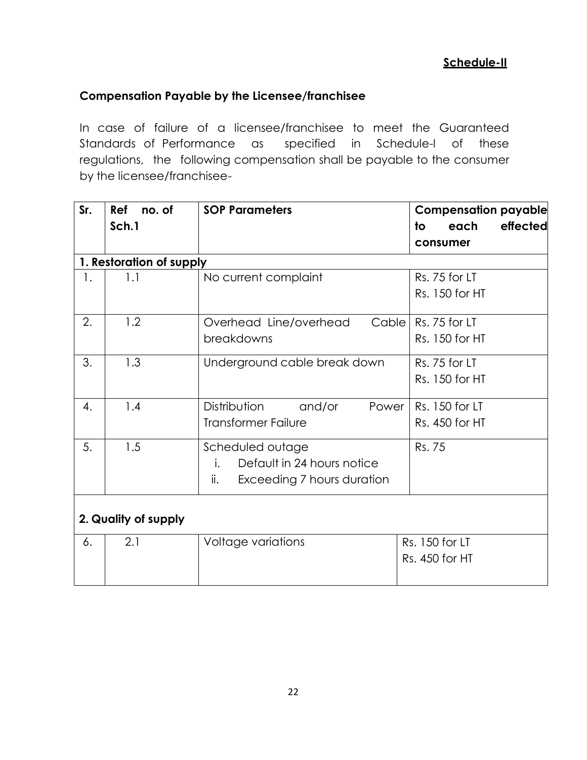#### **Compensation Payable by the Licensee/franchisee**

In case of failure of a licensee/franchisee to meet the Guaranteed Standards of Performance as specified in Schedule-I of these regulations, the following compensation shall be payable to the consumer by the licensee/franchisee-

| Sr. | no. of<br><b>Ref</b>     | <b>SOP Parameters</b>                        | <b>Compensation payable</b> |
|-----|--------------------------|----------------------------------------------|-----------------------------|
|     | Sch.1                    |                                              | effected<br>each<br>to      |
|     |                          |                                              | consumer                    |
|     | 1. Restoration of supply |                                              |                             |
| 1.  | 1.1                      | No current complaint                         | Rs. 75 for LT               |
|     |                          |                                              | Rs. 150 for HT              |
| 2.  | 1.2                      | Cable <sup>1</sup><br>Overhead Line/overhead | Rs. 75 for LT               |
|     |                          | breakdowns                                   | Rs. 150 for HT              |
| 3.  | 1.3                      | Underground cable break down                 | Rs. 75 for LT               |
|     |                          |                                              | Rs. 150 for HT              |
| 4.  | 1.4                      | Distribution<br>and/or<br>Power              | Rs. 150 for LT              |
|     |                          | <b>Transformer Failure</b>                   | Rs. 450 for HT              |
| 5.  | 1.5                      | Scheduled outage                             | Rs. 75                      |
|     |                          | Default in 24 hours notice<br>i.             |                             |
|     |                          | Exceeding 7 hours duration<br>ii.            |                             |
|     | 2. Quality of supply     |                                              |                             |
| 6.  | 2.1                      | Voltage variations                           | Rs. 150 for LT              |
|     |                          |                                              | Rs. 450 for HT              |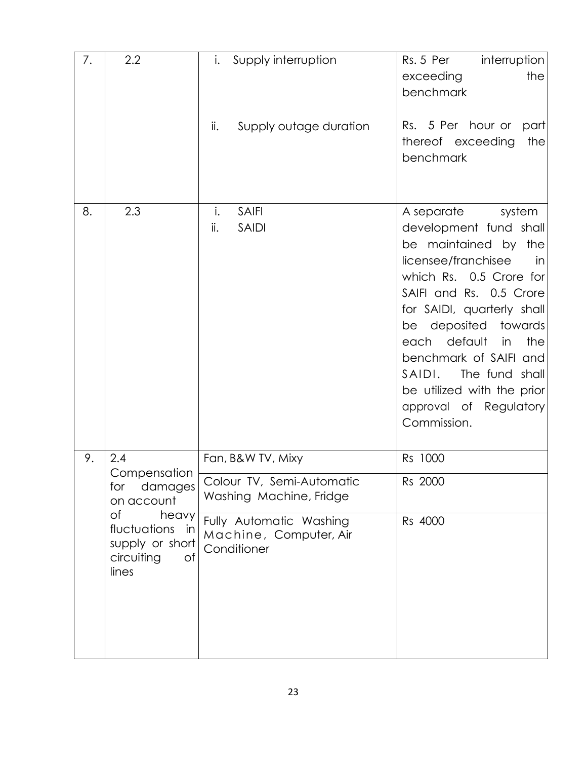| 7. | 2.2                                                                            | i.<br>Supply interruption                                        | Rs. 5 Per<br>interruption<br>the<br>exceeding<br>benchmark                                                                                                                                                                                                                                                                                                                   |
|----|--------------------------------------------------------------------------------|------------------------------------------------------------------|------------------------------------------------------------------------------------------------------------------------------------------------------------------------------------------------------------------------------------------------------------------------------------------------------------------------------------------------------------------------------|
|    |                                                                                | ii.<br>Supply outage duration                                    | Rs. 5 Per hour or<br>part<br>the<br>thereof exceeding<br>benchmark                                                                                                                                                                                                                                                                                                           |
| 8. | 2.3                                                                            | i.<br><b>SAIFI</b><br>ii.<br><b>SAIDI</b>                        | A separate<br>system<br>development fund shall<br>be maintained by the<br>licensee/franchisee<br>in<br>which Rs. 0.5 Crore for<br>SAIFI and Rs. 0.5 Crore<br>for SAIDI, quarterly shall<br>be deposited towards<br>default<br>the<br>each<br>in<br>benchmark of SAIFI and<br>SAIDI.<br>The fund shall<br>be utilized with the prior<br>approval of Regulatory<br>Commission. |
| 9. | 2.4                                                                            | Fan, B&W TV, Mixy                                                | Rs 1000                                                                                                                                                                                                                                                                                                                                                                      |
|    | Compensation<br>for<br>damages<br>on account                                   | Colour TV, Semi-Automatic<br>Washing Machine, Fridge             | Rs 2000                                                                                                                                                                                                                                                                                                                                                                      |
|    | Οf<br>heavy<br>fluctuations in<br>supply or short<br>circuiting<br>Οf<br>lines | Fully Automatic Washing<br>Machine, Computer, Air<br>Conditioner | Rs 4000                                                                                                                                                                                                                                                                                                                                                                      |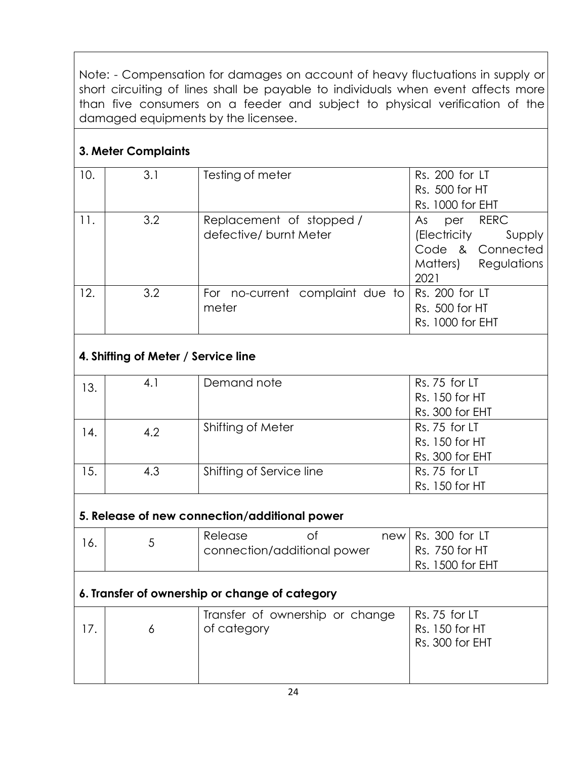Note: - Compensation for damages on account of heavy fluctuations in supply or short circuiting of lines shall be payable to individuals when event affects more than five consumers on a feeder and subject to physical verification of the damaged equipments by the licensee.

## **3. Meter Complaints**

| 10. | 3.1 | Testing of meter                                          | Rs. 200 for LT<br>Rs. 500 for HT<br>Rs. 1000 for EHT                                         |
|-----|-----|-----------------------------------------------------------|----------------------------------------------------------------------------------------------|
| 11. | 3.2 | Replacement of stopped/<br>defective/ burnt Meter         | per RERC<br>As<br>(Electricity<br>Supply<br>Code & Connected<br>Matters) Regulations<br>2021 |
| 12. | 3.2 | For no-current complaint due to   Rs. 200 for LT<br>meter | Rs. 500 for HT<br>Rs. 1000 for EHT                                                           |

# **4. Shifting of Meter / Service line**

| 13. | 4.1 | Demand note              | Rs. 75 for LT   |
|-----|-----|--------------------------|-----------------|
|     |     |                          | Rs. 150 for HT  |
|     |     |                          | Rs. 300 for EHT |
| 14. | 4.2 | Shifting of Meter        | Rs. 75 for LT   |
|     |     |                          | Rs. 150 for HT  |
|     |     |                          | Rs. 300 for EHT |
| 15. | 4.3 | Shifting of Service line | Rs. 75 for LT   |
|     |     |                          | Rs. 150 for HT  |

# **5. Release of new connection/additional power**

|  | Release | connection/additional power | $new$ Rs. 300 for LT<br>Rs. 750 for HT |
|--|---------|-----------------------------|----------------------------------------|
|  |         |                             | <b>Rs. 1500 for EHT</b>                |

# **6. Transfer of ownership or change of category**

|  | Transfer of ownership or change<br>of category | Rs. 75 for LT<br>Rs. 150 for HT<br>Rs. 300 for EHT |
|--|------------------------------------------------|----------------------------------------------------|
|  |                                                |                                                    |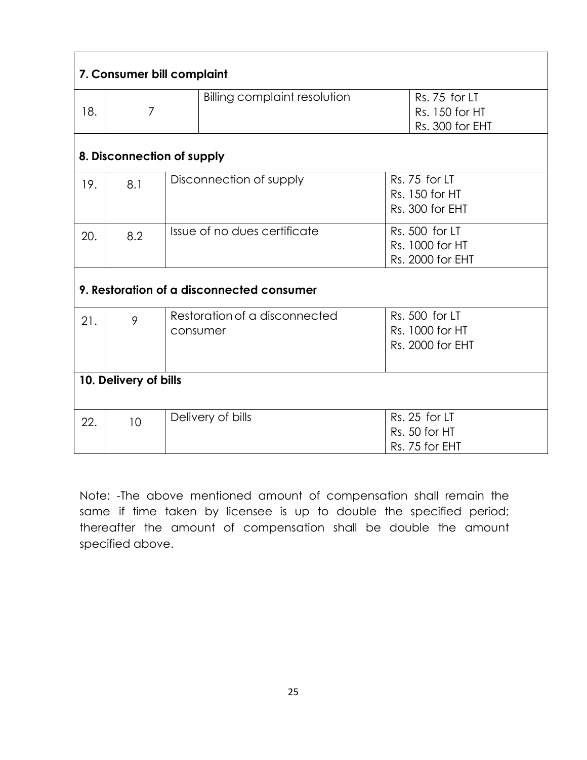| 7. Consumer bill complaint |                            |          |                                           |                                                       |  |  |  |
|----------------------------|----------------------------|----------|-------------------------------------------|-------------------------------------------------------|--|--|--|
| 18.                        | $\overline{7}$             |          | Billing complaint resolution              | Rs. 75 for LT<br>Rs. 150 for HT<br>Rs. 300 for EHT    |  |  |  |
|                            | 8. Disconnection of supply |          |                                           |                                                       |  |  |  |
| 19.                        | 8.1                        |          | Disconnection of supply                   | Rs. 75 for LT<br>Rs. 150 for HT<br>Rs. 300 for EHT    |  |  |  |
| 20.                        | 8.2                        |          | Issue of no dues certificate              | Rs. 500 for LT<br>Rs. 1000 for HT<br>Rs. 2000 for EHT |  |  |  |
|                            |                            |          | 9. Restoration of a disconnected consumer |                                                       |  |  |  |
| 21.                        | 9                          | consumer | Restoration of a disconnected             | Rs. 500 for LT<br>Rs. 1000 for HT<br>Rs. 2000 for EHT |  |  |  |
|                            | 10. Delivery of bills      |          |                                           |                                                       |  |  |  |
| 22.                        | 10                         |          | Delivery of bills                         | Rs. 25 for LT<br>Rs. 50 for HT<br>Rs. 75 for EHT      |  |  |  |

Note: -The above mentioned amount of compensation shall remain the same if time taken by licensee is up to double the specified period; thereafter the amount of compensation shall be double the amount specified above.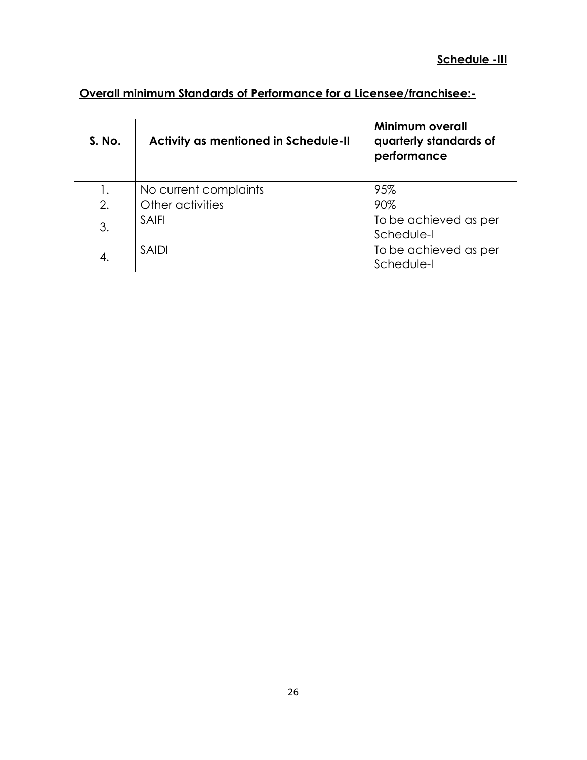# **Overall minimum Standards of Performance for a Licensee/franchisee:-**

| <b>S. No.</b> | <b>Activity as mentioned in Schedule-II</b> | Minimum overall<br>quarterly standards of<br>performance |
|---------------|---------------------------------------------|----------------------------------------------------------|
|               | No current complaints                       | 95%                                                      |
| 2.            | Other activities                            | 90%                                                      |
| 3.            | <b>SAIFI</b>                                | To be achieved as per<br>Schedule-I                      |
| 4.            | <b>SAIDI</b>                                | To be achieved as per<br>Schedule-I                      |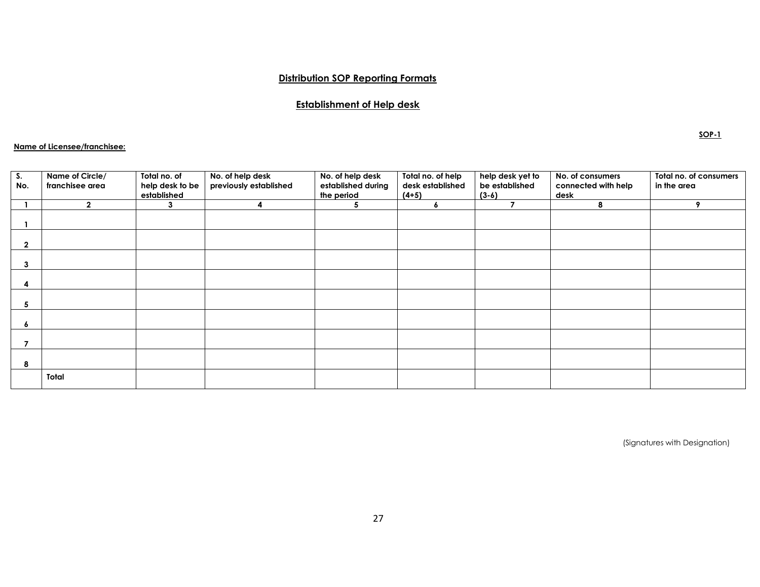#### **Distribution SOP Reporting Formats**

#### **Establishment of Help desk**

#### **Name of Licensee/franchisee:**

| S.<br>No.   | Name of Circle/<br>franchisee area | Total no. of<br>help desk to be<br>established | No. of help desk<br>previously established | No. of help desk<br>established during<br>the period | Total no. of help<br>desk established<br>$(4+5)$ | help desk yet to<br>be established<br>$(3-6)$ | No. of consumers<br>connected with help<br>desk | Total no. of consumers<br>in the area |
|-------------|------------------------------------|------------------------------------------------|--------------------------------------------|------------------------------------------------------|--------------------------------------------------|-----------------------------------------------|-------------------------------------------------|---------------------------------------|
|             | $\mathbf{2}$                       | 3                                              | Λ                                          | 5                                                    | 6                                                | $\overline{\phantom{a}}$                      | 8                                               | 9                                     |
|             |                                    |                                                |                                            |                                                      |                                                  |                                               |                                                 |                                       |
| $\mathbf 2$ |                                    |                                                |                                            |                                                      |                                                  |                                               |                                                 |                                       |
| 3           |                                    |                                                |                                            |                                                      |                                                  |                                               |                                                 |                                       |
|             |                                    |                                                |                                            |                                                      |                                                  |                                               |                                                 |                                       |
| 5           |                                    |                                                |                                            |                                                      |                                                  |                                               |                                                 |                                       |
| ۰           |                                    |                                                |                                            |                                                      |                                                  |                                               |                                                 |                                       |
|             |                                    |                                                |                                            |                                                      |                                                  |                                               |                                                 |                                       |
| 8           |                                    |                                                |                                            |                                                      |                                                  |                                               |                                                 |                                       |
|             | Total                              |                                                |                                            |                                                      |                                                  |                                               |                                                 |                                       |

**SOP-1**

(Signatures with Designation)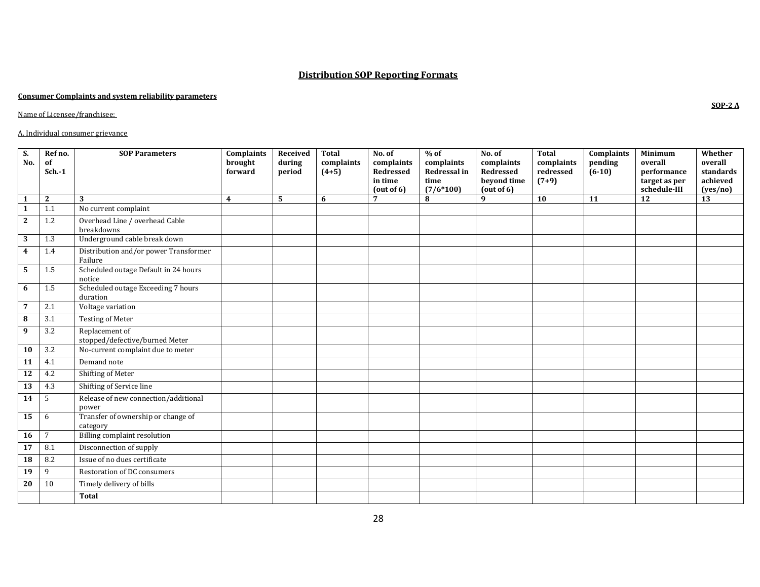#### **Distribution SOP Reporting Formats**

#### **Consumer Complaints and system reliability parameters**

Name of Licensee/franchisee:

#### A. Individual consumer grievance

| $\overline{\mathbf{S}}$ .<br>No. | Ref no.<br>of<br>$Sch.-1$ | <b>SOP Parameters</b>                            | Complaints<br>brought<br>forward | Received<br>during<br>period | <b>Total</b><br>complaints<br>$(4+5)$ | No. of<br>complaints<br><b>Redressed</b><br>in time<br>(out of 6) | $%$ of<br>complaints<br>Redressal in<br>time<br>$(7/6*100)$ | No. of<br>complaints<br>Redressed<br>beyond time<br>(out of 6) | <b>Total</b><br>complaints<br>redressed<br>$(7+9)$ | Complaints<br>pending<br>$(6-10)$ | Minimum<br>overall<br>performance<br>target as per<br>schedule-III | Whether<br>overall<br>standards<br>achieved<br>(yes/no) |
|----------------------------------|---------------------------|--------------------------------------------------|----------------------------------|------------------------------|---------------------------------------|-------------------------------------------------------------------|-------------------------------------------------------------|----------------------------------------------------------------|----------------------------------------------------|-----------------------------------|--------------------------------------------------------------------|---------------------------------------------------------|
| $\mathbf{1}$                     | 2                         | 3                                                | $\overline{\mathbf{4}}$          | 5                            | 6                                     | 7                                                                 | 8                                                           | 9                                                              | 10                                                 | 11                                | 12                                                                 | 13                                                      |
| $\overline{1}$                   | 1.1                       | No current complaint                             |                                  |                              |                                       |                                                                   |                                                             |                                                                |                                                    |                                   |                                                                    |                                                         |
| $\overline{2}$                   | 1.2                       | Overhead Line / overhead Cable<br>breakdowns     |                                  |                              |                                       |                                                                   |                                                             |                                                                |                                                    |                                   |                                                                    |                                                         |
| $\overline{\mathbf{3}}$          | 1.3                       | Underground cable break down                     |                                  |                              |                                       |                                                                   |                                                             |                                                                |                                                    |                                   |                                                                    |                                                         |
| $\boldsymbol{4}$                 | 1.4                       | Distribution and/or power Transformer<br>Failure |                                  |                              |                                       |                                                                   |                                                             |                                                                |                                                    |                                   |                                                                    |                                                         |
| $\overline{5}$                   | 1.5                       | Scheduled outage Default in 24 hours<br>notice   |                                  |                              |                                       |                                                                   |                                                             |                                                                |                                                    |                                   |                                                                    |                                                         |
| 6                                | 1.5                       | Scheduled outage Exceeding 7 hours<br>duration   |                                  |                              |                                       |                                                                   |                                                             |                                                                |                                                    |                                   |                                                                    |                                                         |
| $\overline{7}$                   | 2.1                       | Voltage variation                                |                                  |                              |                                       |                                                                   |                                                             |                                                                |                                                    |                                   |                                                                    |                                                         |
| $\overline{\mathbf{8}}$          | 3.1                       | <b>Testing of Meter</b>                          |                                  |                              |                                       |                                                                   |                                                             |                                                                |                                                    |                                   |                                                                    |                                                         |
| $\overline{9}$                   | 3.2                       | Replacement of<br>stopped/defective/burned Meter |                                  |                              |                                       |                                                                   |                                                             |                                                                |                                                    |                                   |                                                                    |                                                         |
| $\overline{10}$                  | 3.2                       | No-current complaint due to meter                |                                  |                              |                                       |                                                                   |                                                             |                                                                |                                                    |                                   |                                                                    |                                                         |
| $\overline{11}$                  | 4.1                       | Demand note                                      |                                  |                              |                                       |                                                                   |                                                             |                                                                |                                                    |                                   |                                                                    |                                                         |
| 12                               | 4.2                       | Shifting of Meter                                |                                  |                              |                                       |                                                                   |                                                             |                                                                |                                                    |                                   |                                                                    |                                                         |
| <b>13</b>                        | 4.3                       | Shifting of Service line                         |                                  |                              |                                       |                                                                   |                                                             |                                                                |                                                    |                                   |                                                                    |                                                         |
| $\overline{14}$                  | 5                         | Release of new connection/additional<br>power    |                                  |                              |                                       |                                                                   |                                                             |                                                                |                                                    |                                   |                                                                    |                                                         |
| 15                               | 6                         | Transfer of ownership or change of<br>category   |                                  |                              |                                       |                                                                   |                                                             |                                                                |                                                    |                                   |                                                                    |                                                         |
| 16                               | $7\overline{ }$           | Billing complaint resolution                     |                                  |                              |                                       |                                                                   |                                                             |                                                                |                                                    |                                   |                                                                    |                                                         |
| 17                               | 8.1                       | Disconnection of supply                          |                                  |                              |                                       |                                                                   |                                                             |                                                                |                                                    |                                   |                                                                    |                                                         |
| $\overline{18}$                  | 8.2                       | Issue of no dues certificate                     |                                  |                              |                                       |                                                                   |                                                             |                                                                |                                                    |                                   |                                                                    |                                                         |
| $\overline{19}$                  | 9                         | Restoration of DC consumers                      |                                  |                              |                                       |                                                                   |                                                             |                                                                |                                                    |                                   |                                                                    |                                                         |
| $\overline{20}$                  | 10                        | Timely delivery of bills                         |                                  |                              |                                       |                                                                   |                                                             |                                                                |                                                    |                                   |                                                                    |                                                         |
|                                  |                           | <b>Total</b>                                     |                                  |                              |                                       |                                                                   |                                                             |                                                                |                                                    |                                   |                                                                    |                                                         |

**SOP-2 A**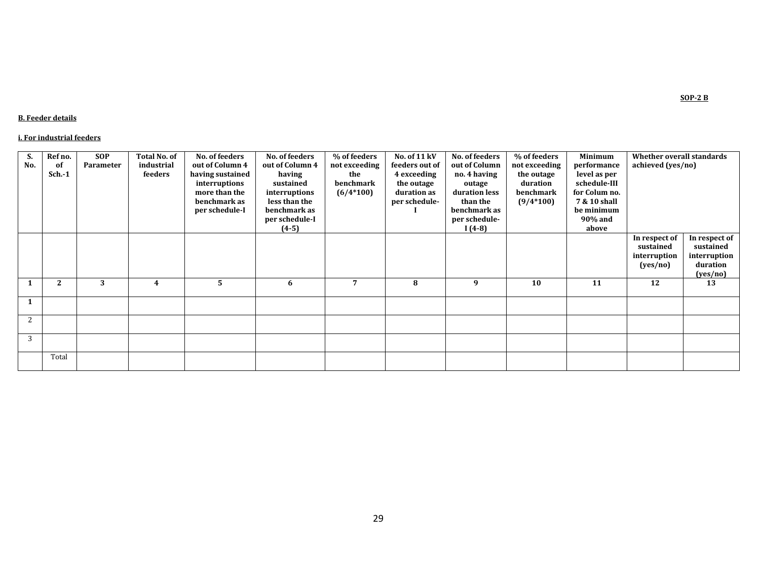#### **B. Feeder details**

#### **i. For industrial feeders**

| S.  | Ref no.      | <b>SOP</b> | <b>Total No. of</b> | No. of feeders   | No. of feeders  | % of feeders  | No. of 11 kV   | No. of feeders | % of feeders  | <b>Minimum</b> | Whether overall standards |               |
|-----|--------------|------------|---------------------|------------------|-----------------|---------------|----------------|----------------|---------------|----------------|---------------------------|---------------|
| No. | of           | Parameter  | industrial          | out of Column 4  | out of Column 4 | not exceeding | feeders out of | out of Column  | not exceeding | performance    | achieved (yes/no)         |               |
|     | $Sch.-1$     |            | feeders             | having sustained | having          | the           | 4 exceeding    | no. 4 having   | the outage    | level as per   |                           |               |
|     |              |            |                     | interruptions    | sustained       | benchmark     | the outage     | outage         | duration      | schedule-III   |                           |               |
|     |              |            |                     | more than the    | interruptions   | $(6/4*100)$   | duration as    | duration less  | benchmark     | for Colum no.  |                           |               |
|     |              |            |                     | benchmark as     | less than the   |               | per schedule-  | than the       | $(9/4*100)$   | 7 & 10 shall   |                           |               |
|     |              |            |                     | per schedule-I   | benchmark as    |               |                | benchmark as   |               | be minimum     |                           |               |
|     |              |            |                     |                  | per schedule-I  |               |                | per schedule-  |               | 90% and        |                           |               |
|     |              |            |                     |                  | $(4-5)$         |               |                | $I(4-8)$       |               | above          |                           |               |
|     |              |            |                     |                  |                 |               |                |                |               |                | In respect of             | In respect of |
|     |              |            |                     |                  |                 |               |                |                |               |                | sustained                 | sustained     |
|     |              |            |                     |                  |                 |               |                |                |               |                | interruption              | interruption  |
|     |              |            |                     |                  |                 |               |                |                |               |                | (yes/no)                  | duration      |
|     |              |            |                     |                  |                 |               |                |                |               |                |                           | (yes/no)      |
|     | $\mathbf{2}$ | 3          | 4                   | 5                | 6               | 7             | 8              | 9              | 10            | 11             | 12                        | 13            |
| 1   |              |            |                     |                  |                 |               |                |                |               |                |                           |               |
|     |              |            |                     |                  |                 |               |                |                |               |                |                           |               |
| 2   |              |            |                     |                  |                 |               |                |                |               |                |                           |               |
| 3   |              |            |                     |                  |                 |               |                |                |               |                |                           |               |
|     |              |            |                     |                  |                 |               |                |                |               |                |                           |               |
|     | Total        |            |                     |                  |                 |               |                |                |               |                |                           |               |

**SOP-2 B**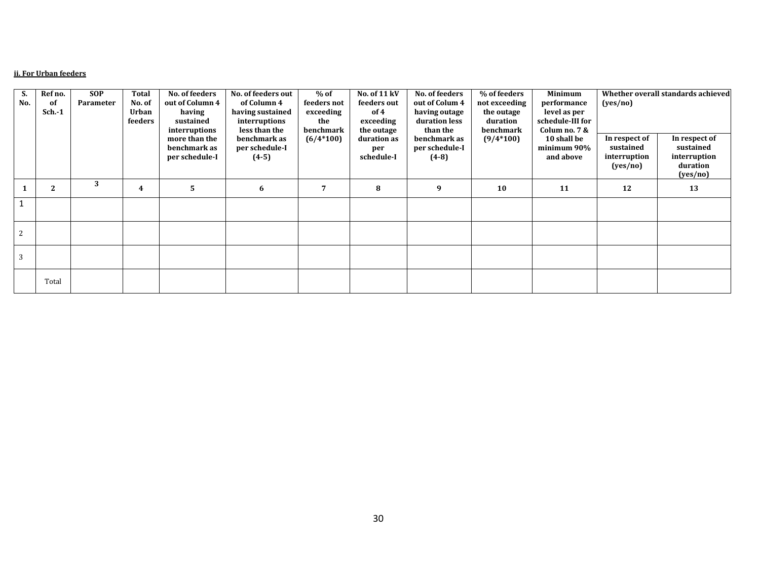#### **ii. For Urban feeders**

| S.  | Ref no.        | <b>SOP</b> | Total           | No. of feeders                                  | No. of feeders out                        | $%$ of                   | No. of $11 \,\mathrm{kV}$        | No. of feeders                            | % of feeders                | Minimum                                 |                                                        | Whether overall standards achieved                                 |
|-----|----------------|------------|-----------------|-------------------------------------------------|-------------------------------------------|--------------------------|----------------------------------|-------------------------------------------|-----------------------------|-----------------------------------------|--------------------------------------------------------|--------------------------------------------------------------------|
| No. | 0f<br>$Sch.-1$ | Parameter  | No. of<br>Urban | out of Column 4<br>having                       | of Column 4<br>having sustained           | feeders not<br>exceeding | feeders out<br>of 4              | out of Colum 4<br>having outage           | not exceeding<br>the outage | performance<br>level as per             | (yes/no)                                               |                                                                    |
|     |                |            | feeders         | sustained<br>interruptions                      | interruptions<br>less than the            | the<br>benchmark         | exceeding<br>the outage          | duration less<br>than the                 | duration<br>benchmark       | schedule-III for<br>Colum no. 7 &       |                                                        |                                                                    |
|     |                |            |                 | more than the<br>benchmark as<br>per schedule-I | benchmark as<br>per schedule-I<br>$(4-5)$ | $(6/4*100)$              | duration as<br>per<br>schedule-I | benchmark as<br>per schedule-I<br>$(4-8)$ | $(9/4*100)$                 | 10 shall be<br>minimum 90%<br>and above | In respect of<br>sustained<br>interruption<br>(yes/no) | In respect of<br>sustained<br>interruption<br>duration<br>(yes/no) |
|     | $\mathbf{2}$   | 3          | 4               | 5.                                              | 6                                         | 7                        | 8                                | 9                                         | 10                          | 11                                      | 12                                                     | 13                                                                 |
|     |                |            |                 |                                                 |                                           |                          |                                  |                                           |                             |                                         |                                                        |                                                                    |
| 2   |                |            |                 |                                                 |                                           |                          |                                  |                                           |                             |                                         |                                                        |                                                                    |
|     |                |            |                 |                                                 |                                           |                          |                                  |                                           |                             |                                         |                                                        |                                                                    |
|     | Total          |            |                 |                                                 |                                           |                          |                                  |                                           |                             |                                         |                                                        |                                                                    |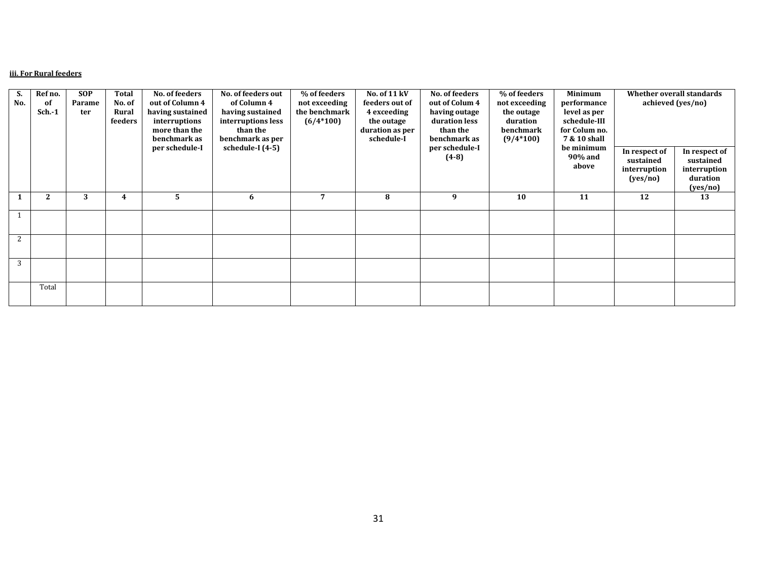#### **iii. For Rural feeders**

| S.  | Ref no.      | <b>SOP</b> | <b>Total</b> | No. of feeders   | No. of feeders out | % of feeders   | No. of 11 kV    | No. of feeders | % of feeders  | Minimum       | Whether overall standards |                   |
|-----|--------------|------------|--------------|------------------|--------------------|----------------|-----------------|----------------|---------------|---------------|---------------------------|-------------------|
| No. | of           | Parame     | No. of       | out of Column 4  | of Column 4        | not exceeding  | feeders out of  | out of Colum 4 | not exceeding | performance   |                           | achieved (yes/no) |
|     | $Sch.-1$     | ter        | Rural        | having sustained | having sustained   | the benchmark  | 4 exceeding     | having outage  | the outage    | level as per  |                           |                   |
|     |              |            | feeders      | interruptions    | interruptions less | $(6/4*100)$    | the outage      | duration less  | duration      | schedule-III  |                           |                   |
|     |              |            |              | more than the    | than the           |                | duration as per | than the       | benchmark     | for Colum no. |                           |                   |
|     |              |            |              | benchmark as     | benchmark as per   |                | schedule-I      | benchmark as   | $(9/4*100)$   | 7 & 10 shall  |                           |                   |
|     |              |            |              | per schedule-I   | schedule-I (4-5)   |                |                 | per schedule-I |               | be minimum    | In respect of             | In respect of     |
|     |              |            |              |                  |                    |                |                 | $(4-8)$        |               | 90% and       | sustained                 | sustained         |
|     |              |            |              |                  |                    |                |                 |                |               | above         | interruption              | interruption      |
|     |              |            |              |                  |                    |                |                 |                |               |               | (yes/no)                  | duration          |
|     |              |            |              |                  |                    |                |                 |                |               |               |                           | (yes/no)          |
|     | $\mathbf{2}$ | 3          | 4            | 5                | 6                  | $\overline{7}$ | 8               | 9              | 10            | 11            | 12                        | 13                |
|     |              |            |              |                  |                    |                |                 |                |               |               |                           |                   |
|     |              |            |              |                  |                    |                |                 |                |               |               |                           |                   |
|     |              |            |              |                  |                    |                |                 |                |               |               |                           |                   |
| 2   |              |            |              |                  |                    |                |                 |                |               |               |                           |                   |
|     |              |            |              |                  |                    |                |                 |                |               |               |                           |                   |
|     |              |            |              |                  |                    |                |                 |                |               |               |                           |                   |
| 3   |              |            |              |                  |                    |                |                 |                |               |               |                           |                   |
|     |              |            |              |                  |                    |                |                 |                |               |               |                           |                   |
|     | Total        |            |              |                  |                    |                |                 |                |               |               |                           |                   |
|     |              |            |              |                  |                    |                |                 |                |               |               |                           |                   |
|     |              |            |              |                  |                    |                |                 |                |               |               |                           |                   |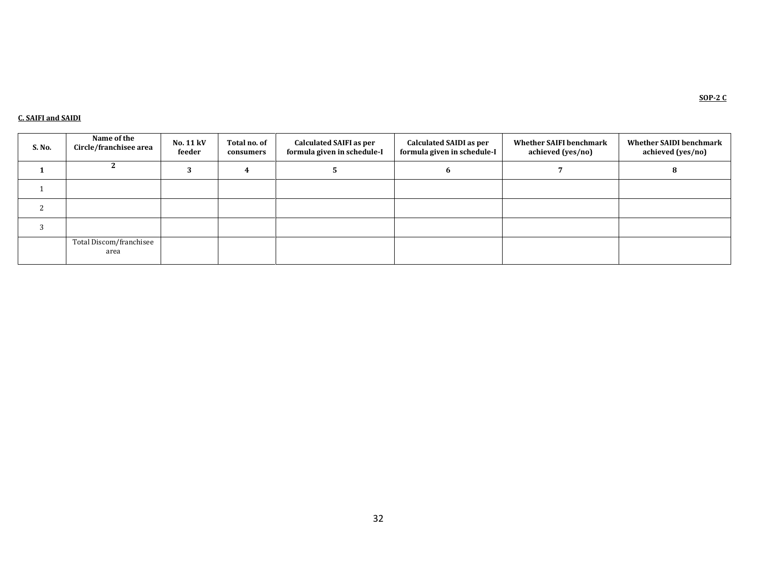#### **C. SAIFI and SAIDI**

| S. No. | Name of the<br>Circle/franchisee area | No. 11 kV<br>feeder | Total no. of<br>consumers | <b>Calculated SAIFI as per</b><br>formula given in schedule-I | <b>Calculated SAIDI as per</b><br>formula given in schedule-I | <b>Whether SAIFI benchmark</b><br>achieved (yes/no) | <b>Whether SAIDI benchmark</b><br>achieved (yes/no) |
|--------|---------------------------------------|---------------------|---------------------------|---------------------------------------------------------------|---------------------------------------------------------------|-----------------------------------------------------|-----------------------------------------------------|
|        |                                       |                     |                           |                                                               |                                                               |                                                     |                                                     |
|        |                                       |                     |                           |                                                               |                                                               |                                                     |                                                     |
|        |                                       |                     |                           |                                                               |                                                               |                                                     |                                                     |
|        |                                       |                     |                           |                                                               |                                                               |                                                     |                                                     |
|        | Total Discom/franchisee<br>area       |                     |                           |                                                               |                                                               |                                                     |                                                     |

**SOP-2 C**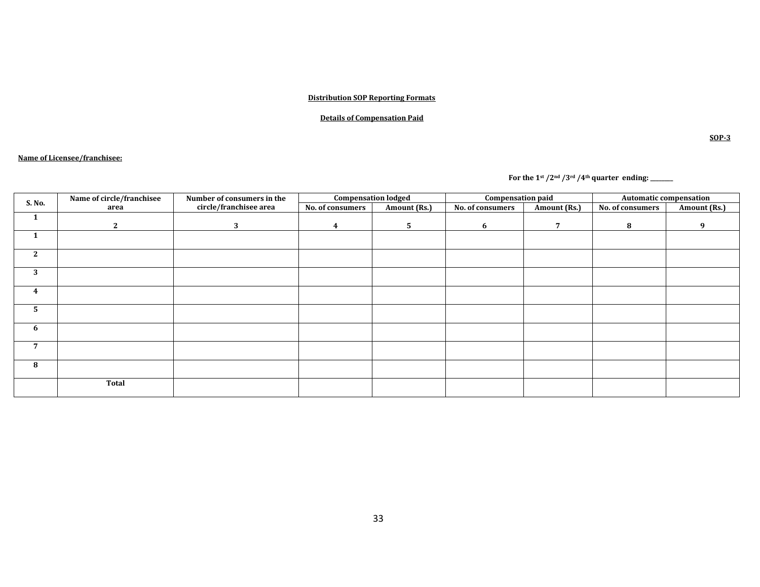#### **Distribution SOP Reporting Formats**

#### **Details of Compensation Paid**

#### **Name of Licensee/franchisee:**

 **For the 1st /2nd /3rd /4th quarter ending: \_\_\_\_\_\_\_\_**

| S. No.         | Name of circle/franchisee | Number of consumers in the |                  | <b>Compensation lodged</b> | <b>Compensation paid</b> |              |                  | <b>Automatic compensation</b> |
|----------------|---------------------------|----------------------------|------------------|----------------------------|--------------------------|--------------|------------------|-------------------------------|
|                | area                      | circle/franchisee area     | No. of consumers | Amount (Rs.)               | No. of consumers         | Amount (Rs.) | No. of consumers | Amount (Rs.)                  |
| $\mathbf{1}$   |                           |                            |                  |                            |                          |              |                  |                               |
|                | $\mathbf{2}$              | 3                          | 4                | 5                          | 6                        | 7            | 8                | q                             |
| 1              |                           |                            |                  |                            |                          |              |                  |                               |
| $\mathbf{2}$   |                           |                            |                  |                            |                          |              |                  |                               |
| 3              |                           |                            |                  |                            |                          |              |                  |                               |
| 4              |                           |                            |                  |                            |                          |              |                  |                               |
| 5              |                           |                            |                  |                            |                          |              |                  |                               |
| 6              |                           |                            |                  |                            |                          |              |                  |                               |
| $\overline{7}$ |                           |                            |                  |                            |                          |              |                  |                               |
| 8              |                           |                            |                  |                            |                          |              |                  |                               |
|                | <b>Total</b>              |                            |                  |                            |                          |              |                  |                               |

**SOP-3**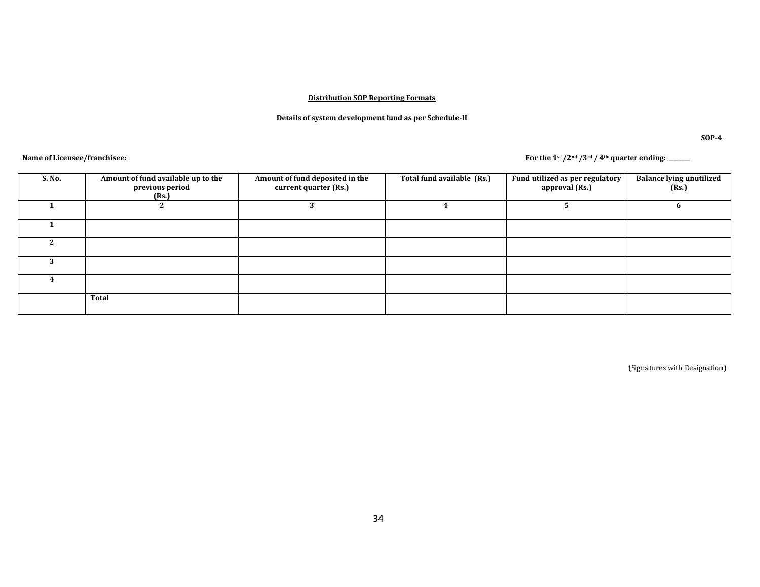#### **Distribution SOP Reporting Formats**

#### **Details of system development fund as per Schedule-II**

**SOP-4**

**Name of Licensee/franchisee: For the 1st /2nd /3rd / 4th quarter ending: \_\_\_\_\_\_\_\_**

| S. No. | Amount of fund available up to the<br>previous period<br>(Rs.) | Amount of fund deposited in the<br>current quarter (Rs.) | Total fund available (Rs.) | Fund utilized as per regulatory<br>approval (Rs.) | <b>Balance lying unutilized</b><br>(Rs.) |
|--------|----------------------------------------------------------------|----------------------------------------------------------|----------------------------|---------------------------------------------------|------------------------------------------|
|        |                                                                |                                                          |                            |                                                   |                                          |
|        |                                                                |                                                          |                            |                                                   |                                          |
|        |                                                                |                                                          |                            |                                                   |                                          |
|        |                                                                |                                                          |                            |                                                   |                                          |
|        |                                                                |                                                          |                            |                                                   |                                          |
|        | Total                                                          |                                                          |                            |                                                   |                                          |

(Signatures with Designation)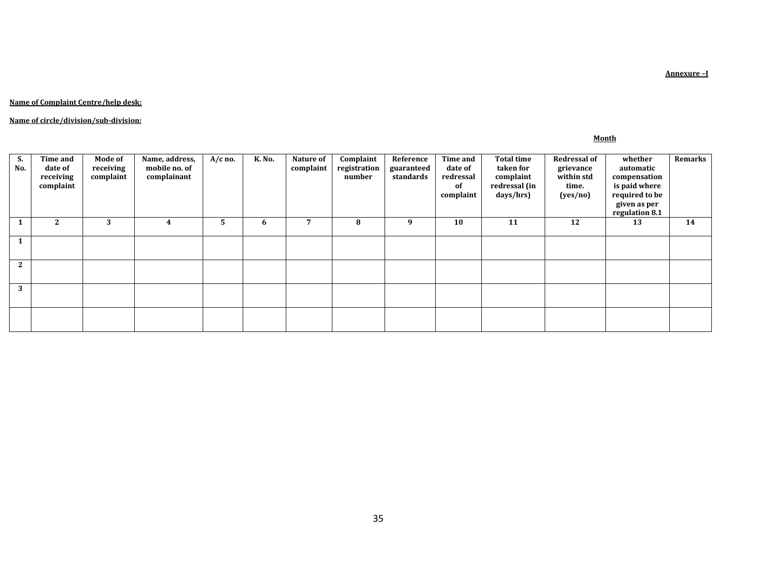**Annexure –I**

#### **Name of Complaint Centre/help desk:**

#### **Name of circle/division/sub-division:**

#### **Month**

| э.<br>No.    | <b>Time and</b><br>date of<br>receiving<br>complaint | <b>Mode of</b><br>receiving<br>complaint | Name, address,<br>mobile no. of<br>complainant | $A/c$ no. | <b>K. No.</b> | Nature of<br>complaint | Complaint<br>registration<br>number | Reference<br>guaranteed<br>standards | Time and<br>date of<br>redressal<br><sub>of</sub><br>complaint | <b>Total time</b><br>taken for<br>complaint<br>redressal (in<br>days/hrs) | <b>Redressal of</b><br>grievance<br>within std<br>time.<br>(yes/no) | whether<br>automatic<br>compensation<br>is paid where<br>required to be<br>given as per<br>regulation 8.1 | Remarks |
|--------------|------------------------------------------------------|------------------------------------------|------------------------------------------------|-----------|---------------|------------------------|-------------------------------------|--------------------------------------|----------------------------------------------------------------|---------------------------------------------------------------------------|---------------------------------------------------------------------|-----------------------------------------------------------------------------------------------------------|---------|
|              | 2                                                    | 3                                        | 4                                              | 5.        | 6             |                        | 8                                   | 9                                    | 10                                                             | 11                                                                        | 12                                                                  | 13                                                                                                        | 14      |
|              |                                                      |                                          |                                                |           |               |                        |                                     |                                      |                                                                |                                                                           |                                                                     |                                                                                                           |         |
| $\mathbf{2}$ |                                                      |                                          |                                                |           |               |                        |                                     |                                      |                                                                |                                                                           |                                                                     |                                                                                                           |         |
| 3            |                                                      |                                          |                                                |           |               |                        |                                     |                                      |                                                                |                                                                           |                                                                     |                                                                                                           |         |
|              |                                                      |                                          |                                                |           |               |                        |                                     |                                      |                                                                |                                                                           |                                                                     |                                                                                                           |         |